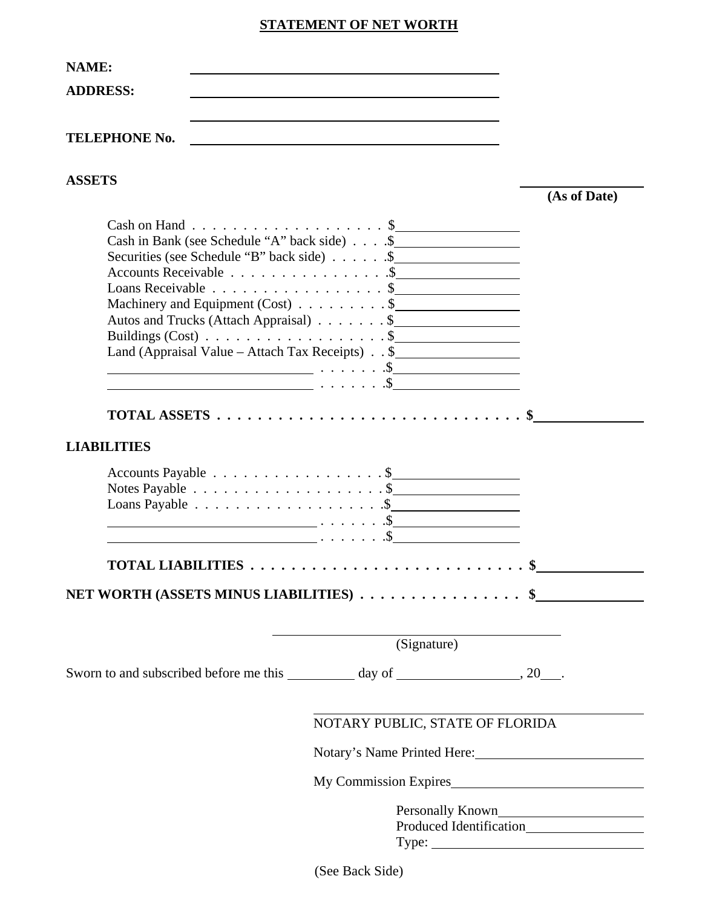#### **STATEMENT OF NET WORTH**

| <b>NAME:</b>         |                                                                                                               |
|----------------------|---------------------------------------------------------------------------------------------------------------|
| <b>ADDRESS:</b>      |                                                                                                               |
| <b>TELEPHONE No.</b> |                                                                                                               |
| <b>ASSETS</b>        |                                                                                                               |
|                      | Cash on Hand \$<br>Cash in Bank (see Schedule "A" back side) \$<br>Securities (see Schedule "B" back side) \$ |
|                      | Accounts Receivable \$<br>Loans Receivable $\ldots \ldots \ldots \ldots \ldots$ \$                            |

Machinery and Equipment (Cost) . . . . . . . . \$ Autos and Trucks (Attach Appraisal) . . . . . . . \$ Buildings (Cost) . . . . . . . . . . . . . . . . . \$ Land (Appraisal Value – Attach Tax Receipts) . . \$ . . . . . . .\$

. . . . . . .\$

**TOTAL ASSETS . . . . . . . . . . . . . . . . . . . . . . . . . . . . . . \$** 

**LIABILITIES**

| Accounts Payable $\ldots \ldots \ldots \ldots \ldots$<br>Notes Payable $\ldots \ldots \ldots \ldots \ldots \ldots$ |                         |
|--------------------------------------------------------------------------------------------------------------------|-------------------------|
| Loans Payable $\ldots \ldots \ldots \ldots \ldots \ldots$ .                                                        |                         |
|                                                                                                                    | $\ldots$ $\mathfrak{D}$ |
|                                                                                                                    | $\ldots$ $\mathfrak{B}$ |

| NET WORTH (ASSETS MINUS LIABILITIES) \$_ |  |
|------------------------------------------|--|
|                                          |  |

Sworn to and subscribed before me this day of , 20 .

**TOTAL LIABILITIES . . . . . . . . . . . . . . . . . . . . . . . . . . . \$** 

# NOTARY PUBLIC, STATE OF FLORIDA

**(As of Date)** 

Notary's Name Printed Here:

My Commission Expires

Personally Known Produced Identification Type:

(See Back Side)